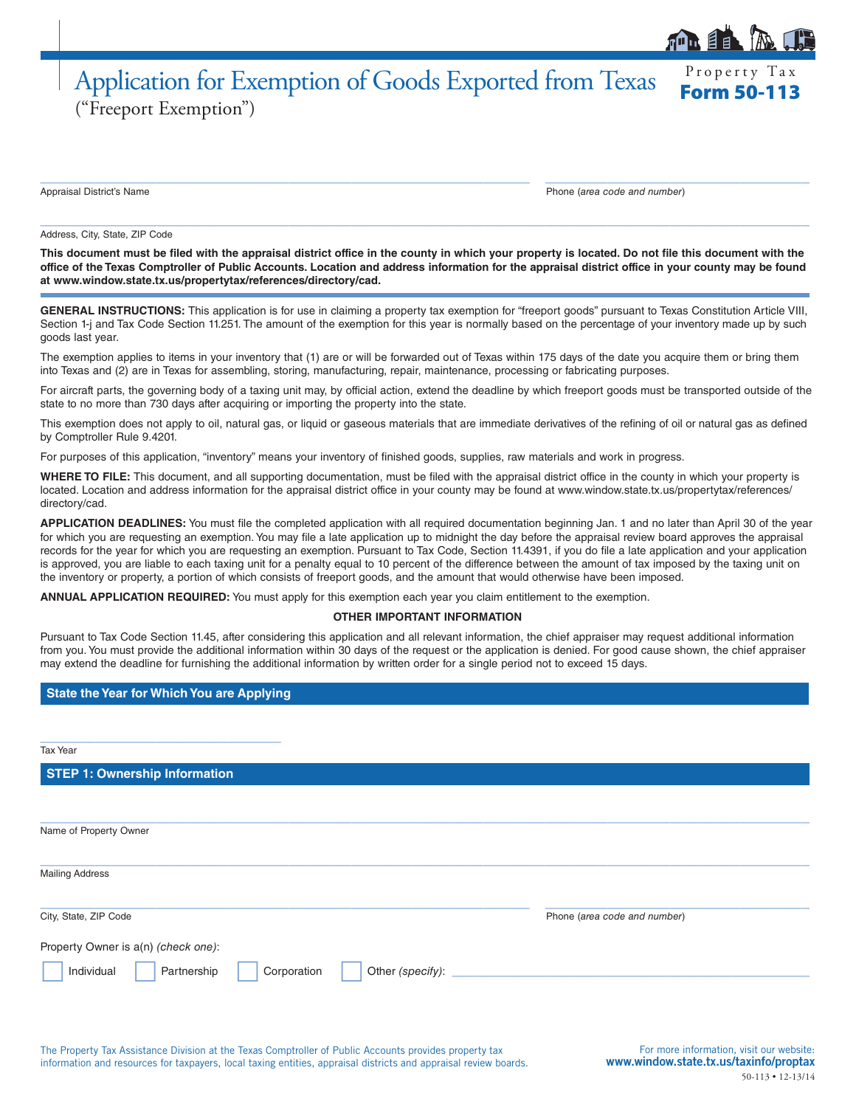## Property Tax Application for Exemption of Goods Exported from Texas ("Freeport Exemption")

Appraisal District's Name Phone (*area code and number*)

#### Address, City, State, ZIP Code

**This document must be filed with the appraisal district office in the county in which your property is located. Do not file this document with the office of the Texas Comptroller of Public Accounts. Location and address information for the appraisal district office in your county may be found at www.window.state.tx.us/propertytax/references/directory/cad.**

 $\_$  ,  $\_$  ,  $\_$  ,  $\_$  ,  $\_$  ,  $\_$  ,  $\_$  ,  $\_$  ,  $\_$  ,  $\_$  ,  $\_$  ,  $\_$  ,  $\_$  ,  $\_$  ,  $\_$  ,  $\_$  ,  $\_$  ,  $\_$  ,  $\_$  ,  $\_$  ,  $\_$  ,  $\_$  ,  $\_$  ,  $\_$  ,  $\_$  ,  $\_$  ,  $\_$  ,  $\_$  ,  $\_$  ,  $\_$  ,  $\_$  ,  $\_$  ,  $\_$  ,  $\_$  ,  $\_$  ,  $\_$  ,  $\_$  ,

 $\_$  , and the set of the set of the set of the set of the set of the set of the set of the set of the set of the set of the set of the set of the set of the set of the set of the set of the set of the set of the set of th

GENERAL INSTRUCTIONS: This application is for use in claiming a property tax exemption for "freeport goods" pursuant to Texas Constitution Article VIII, Section 1-j and Tax Code Section 11.251. The amount of the exemption for this year is normally based on the percentage of your inventory made up by such goods last year.

The exemption applies to items in your inventory that (1) are or will be forwarded out of Texas within 175 days of the date you acquire them or bring them into Texas and (2) are in Texas for assembling, storing, manufacturing, repair, maintenance, processing or fabricating purposes.

For aircraft parts, the governing body of a taxing unit may, by official action, extend the deadline by which freeport goods must be transported outside of the state to no more than 730 days after acquiring or importing the property into the state.

This exemption does not apply to oil, natural gas, or liquid or gaseous materials that are immediate derivatives of the refining of oil or natural gas as defined by Comptroller Rule 9.4201.

For purposes of this application, "inventory" means your inventory of finished goods, supplies, raw materials and work in progress.

**WHERE TO FILE:** This document, and all supporting documentation, must be filed with the appraisal district office in the county in which your property is located. Location and address information for the appraisal district office in your county may be found at www.window.state.tx.us/propertytax/references/ directory/cad.

**APPLICATION DEADLINES:** You must file the completed application with all required documentation beginning Jan. 1 and no later than April 30 of the year for which you are requesting an exemption. You may file a late application up to midnight the day before the appraisal review board approves the appraisal records for the year for which you are requesting an exemption. Pursuant to Tax Code, Section 11.4391, if you do file a late application and your application is approved, you are liable to each taxing unit for a penalty equal to 10 percent of the difference between the amount of tax imposed by the taxing unit on the inventory or property, a portion of which consists of freeport goods, and the amount that would otherwise have been imposed.

**ANNUAL APPLICATION REQUIRED:** You must apply for this exemption each year you claim entitlement to the exemption.

#### **OTHER IMPORTANT INFORMATION**

Pursuant to Tax Code Section 11.45, after considering this application and all relevant information, the chief appraiser may request additional information from you. You must provide the additional information within 30 days of the request or the application is denied. For good cause shown, the chief appraiser may extend the deadline for furnishing the additional information by written order for a single period not to exceed 15 days.

#### **State the Year for Which You are Applying**

\_\_\_\_\_\_\_\_\_\_\_\_\_\_\_\_\_\_\_\_\_\_\_\_\_\_\_\_\_\_\_

Tax Year

### **STEP 1: Ownership Information**

 $\_$  , and the set of the set of the set of the set of the set of the set of the set of the set of the set of the set of the set of the set of the set of the set of the set of the set of the set of the set of the set of th Name of Property Owner  $\_$  , and the set of the set of the set of the set of the set of the set of the set of the set of the set of the set of the set of the set of the set of the set of the set of the set of the set of the set of the set of th Mailing Address  $\_$  ,  $\_$  ,  $\_$  ,  $\_$  ,  $\_$  ,  $\_$  ,  $\_$  ,  $\_$  ,  $\_$  ,  $\_$  ,  $\_$  ,  $\_$  ,  $\_$  ,  $\_$  ,  $\_$  ,  $\_$  ,  $\_$  ,  $\_$  ,  $\_$  ,  $\_$  ,  $\_$  ,  $\_$  ,  $\_$  ,  $\_$  ,  $\_$  ,  $\_$  ,  $\_$  ,  $\_$  ,  $\_$  ,  $\_$  ,  $\_$  ,  $\_$  ,  $\_$  ,  $\_$  ,  $\_$  ,  $\_$  ,  $\_$  , City, State, ZIP Code Phone (*area code and number*) Property Owner is a(n) *(check one)*: Individual Partnership Corporation Other *(specify)*: \_\_\_\_\_\_\_\_\_\_\_\_\_\_\_\_\_\_\_\_\_\_\_\_\_\_\_\_\_\_\_\_\_\_\_\_\_\_\_\_\_\_\_\_\_\_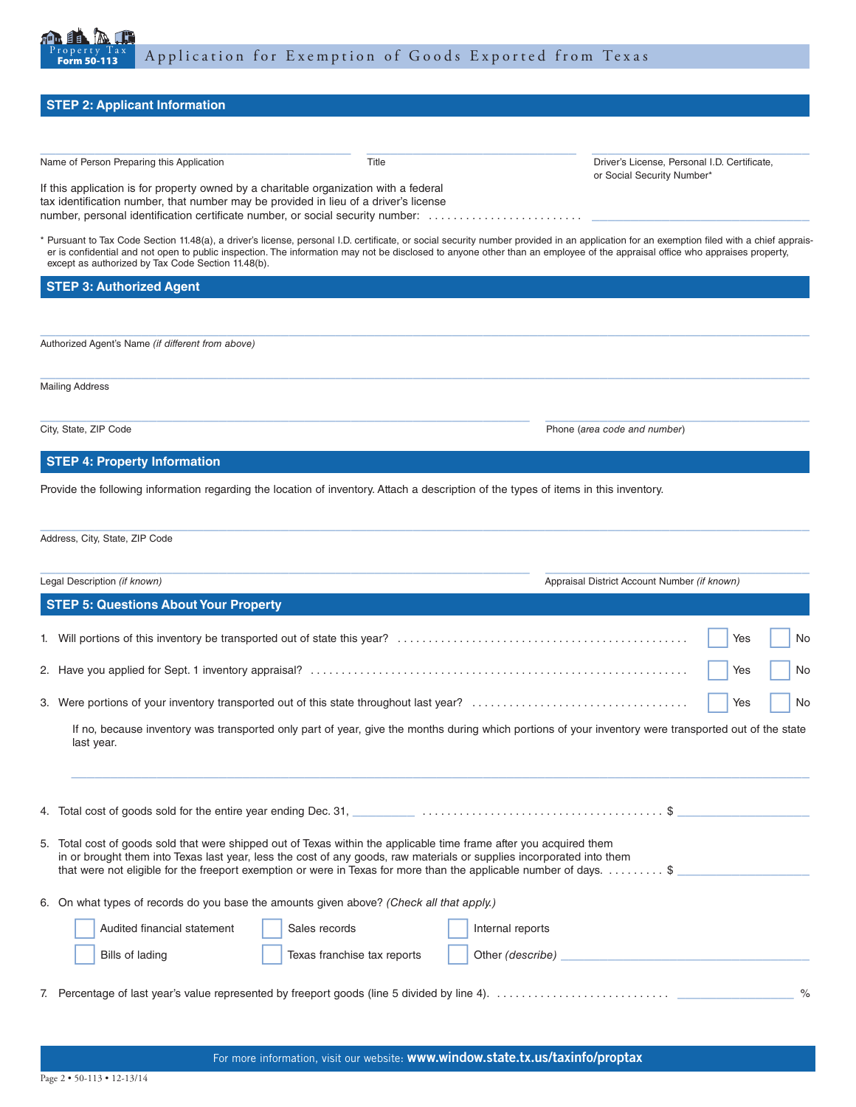

# **STEP 2: Applicant Information**  $\_$  , and the set of the set of the set of the set of the set of the set of the set of the set of the set of the set of the set of the set of the set of the set of the set of the set of the set of the set of the set of th Name of Person Preparing this Application **Contract Criticate** Title **Critication** Driver's License, Personal I.D. Certificate, or Social Security Number\* If this application is for property owned by a charitable organization with a federal tax identification number, that number may be provided in lieu of a driver's license number, personal identification certificate number, or social security number: . . . . . . . . . . . . . . . \* Pursuant to Tax Code Section 11.48(a), a driver's license, personal I.D. certificate, or social security number provided in an application for an exemption filed with a chief appraiser is confidential and not open to public inspection. The information may not be disclosed to anyone other than an employee of the appraisal office who appraises property, except as authorized by Tax Code Section 11.48(b). **STEP 3: Authorized Agent**  $\_$  , and the set of the set of the set of the set of the set of the set of the set of the set of the set of the set of the set of the set of the set of the set of the set of the set of the set of the set of the set of th Authorized Agent's Name *(if different from above)*  $\_$  , and the set of the set of the set of the set of the set of the set of the set of the set of the set of the set of the set of the set of the set of the set of the set of the set of the set of the set of the set of th Mailing Address  $\_$  ,  $\_$  ,  $\_$  ,  $\_$  ,  $\_$  ,  $\_$  ,  $\_$  ,  $\_$  ,  $\_$  ,  $\_$  ,  $\_$  ,  $\_$  ,  $\_$  ,  $\_$  ,  $\_$  ,  $\_$  ,  $\_$  ,  $\_$  ,  $\_$  ,  $\_$  ,  $\_$  ,  $\_$  ,  $\_$  ,  $\_$  ,  $\_$  ,  $\_$  ,  $\_$  ,  $\_$  ,  $\_$  ,  $\_$  ,  $\_$  ,  $\_$  ,  $\_$  ,  $\_$  ,  $\_$  ,  $\_$  ,  $\_$  , City, State, ZIP Code Phone (*area code and number*) **STEP 4: Property Information**  Provide the following information regarding the location of inventory. Attach a description of the types of items in this inventory.  $\_$  , and the set of the set of the set of the set of the set of the set of the set of the set of the set of the set of the set of the set of the set of the set of the set of the set of the set of the set of the set of th Address, City, State, ZIP Code  $\_$  ,  $\_$  ,  $\_$  ,  $\_$  ,  $\_$  ,  $\_$  ,  $\_$  ,  $\_$  ,  $\_$  ,  $\_$  ,  $\_$  ,  $\_$  ,  $\_$  ,  $\_$  ,  $\_$  ,  $\_$  ,  $\_$  ,  $\_$  ,  $\_$  ,  $\_$  ,  $\_$  ,  $\_$  ,  $\_$  ,  $\_$  ,  $\_$  ,  $\_$  ,  $\_$  ,  $\_$  ,  $\_$  ,  $\_$  ,  $\_$  ,  $\_$  ,  $\_$  ,  $\_$  ,  $\_$  ,  $\_$  ,  $\_$  , Legal Description *(if known)* Appraisal District Account Number *(if known)* **STEP 5: Questions About Your Property** 1. Will portions of this inventory be transported out of state this year? . . Yes No 2. Have you applied for Sept. 1 inventory appraisal? . . Yes No 3. Were portions of your inventory transported out of this state throughout last year? . . Yes No If no, because inventory was transported only part of year, give the months during which portions of your inventory were transported out of the state last year.  $\mathcal{L}_\mathcal{L} = \{ \mathcal{L}_\mathcal{L} = \{ \mathcal{L}_\mathcal{L} = \{ \mathcal{L}_\mathcal{L} = \{ \mathcal{L}_\mathcal{L} = \{ \mathcal{L}_\mathcal{L} = \{ \mathcal{L}_\mathcal{L} = \{ \mathcal{L}_\mathcal{L} = \{ \mathcal{L}_\mathcal{L} = \{ \mathcal{L}_\mathcal{L} = \{ \mathcal{L}_\mathcal{L} = \{ \mathcal{L}_\mathcal{L} = \{ \mathcal{L}_\mathcal{L} = \{ \mathcal{L}_\mathcal{L} = \{ \mathcal{L}_\mathcal{$ 4. Total cost of goods sold for the entire year ending Dec. 31,  $\ldots$ ,  $\dots$ ,  $\dots$ ,  $\dots$ ,  $\dots$ ,  $\dots$ ,  $\dots$ ,  $\dots$ ,  $\dots$ ,  $\$$

- 5. Total cost of goods sold that were shipped out of Texas within the applicable time frame after you acquired them in or brought them into Texas last year, less the cost of any goods, raw materials or supplies incorporated into them that were not eligible for the freeport exemption or were in Texas for more than the applicable number of days.  $\dots \dots$
- 6. On what types of records do you base the amounts given above? *(Check all that apply.)*

| Audited financial statement | Sales records               | Internal reports |
|-----------------------------|-----------------------------|------------------|
| Bills of lading             | Texas franchise tax reports | Other (describe) |
|                             |                             |                  |

7. Percentage of last year's value represented by freeport goods (line 5 divided by line 4). . . \_\_\_\_\_\_\_\_\_\_\_\_\_\_\_ %